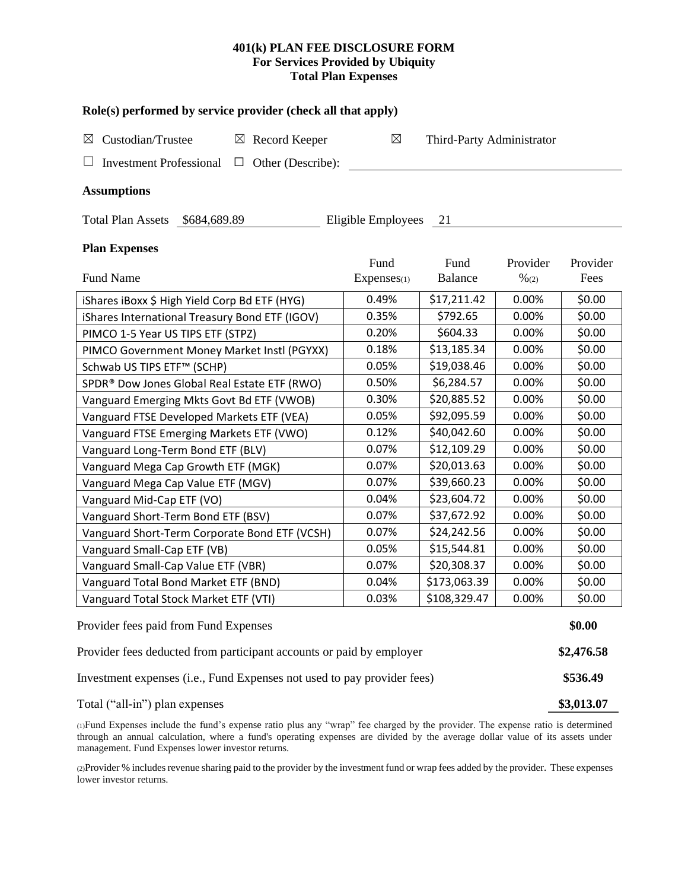# **401(k) PLAN FEE DISCLOSURE FORM For Services Provided by Ubiquity Total Plan Expenses**

| Role(s) performed by service provider (check all that apply)            |             |                           |                  |          |  |  |  |  |  |  |
|-------------------------------------------------------------------------|-------------|---------------------------|------------------|----------|--|--|--|--|--|--|
| Custodian/Trustee<br>$\boxtimes$ Record Keeper<br>⊠                     | $\boxtimes$ | Third-Party Administrator |                  |          |  |  |  |  |  |  |
| <b>Investment Professional</b><br>Other (Describe):<br>$\Box$<br>$\Box$ |             |                           |                  |          |  |  |  |  |  |  |
| <b>Assumptions</b>                                                      |             |                           |                  |          |  |  |  |  |  |  |
| Total Plan Assets \$684,689.89<br>Eligible Employees<br>21              |             |                           |                  |          |  |  |  |  |  |  |
| <b>Plan Expenses</b>                                                    |             |                           |                  |          |  |  |  |  |  |  |
|                                                                         | Fund        | Fund                      | Provider         | Provider |  |  |  |  |  |  |
| Fund Name                                                               | Expenses(1) | <b>Balance</b>            | $\frac{9}{6(2)}$ | Fees     |  |  |  |  |  |  |
| iShares iBoxx \$ High Yield Corp Bd ETF (HYG)                           | 0.49%       | \$17,211.42               | 0.00%            | \$0.00   |  |  |  |  |  |  |
| iShares International Treasury Bond ETF (IGOV)                          | 0.35%       | \$792.65                  | 0.00%            | \$0.00   |  |  |  |  |  |  |
| PIMCO 1-5 Year US TIPS ETF (STPZ)                                       | 0.20%       | \$604.33                  | 0.00%            | \$0.00   |  |  |  |  |  |  |
| PIMCO Government Money Market Instl (PGYXX)                             | 0.18%       | \$13,185.34               | 0.00%            | \$0.00   |  |  |  |  |  |  |
| Schwab US TIPS ETF <sup>™</sup> (SCHP)                                  | 0.05%       | \$19,038.46               | 0.00%            | \$0.00   |  |  |  |  |  |  |
| SPDR® Dow Jones Global Real Estate ETF (RWO)                            | 0.50%       | \$6,284.57                | 0.00%            | \$0.00   |  |  |  |  |  |  |
| Vanguard Emerging Mkts Govt Bd ETF (VWOB)                               | 0.30%       | \$20,885.52               | 0.00%            | \$0.00   |  |  |  |  |  |  |
| Vanguard FTSE Developed Markets ETF (VEA)                               | 0.05%       | \$92,095.59               | 0.00%            | \$0.00   |  |  |  |  |  |  |
| Vanguard FTSE Emerging Markets ETF (VWO)                                | 0.12%       | \$40,042.60               | 0.00%            | \$0.00   |  |  |  |  |  |  |
| Vanguard Long-Term Bond ETF (BLV)                                       | 0.07%       | \$12,109.29               | 0.00%            | \$0.00   |  |  |  |  |  |  |
| Vanguard Mega Cap Growth ETF (MGK)                                      | 0.07%       | \$20,013.63               | 0.00%            | \$0.00   |  |  |  |  |  |  |
| Vanguard Mega Cap Value ETF (MGV)                                       | 0.07%       | \$39,660.23               | 0.00%            | \$0.00   |  |  |  |  |  |  |
| Vanguard Mid-Cap ETF (VO)                                               | 0.04%       | \$23,604.72               | 0.00%            | \$0.00   |  |  |  |  |  |  |
| Vanguard Short-Term Bond ETF (BSV)                                      | 0.07%       | \$37,672.92               | 0.00%            | \$0.00   |  |  |  |  |  |  |
| Vanguard Short-Term Corporate Bond ETF (VCSH)                           | 0.07%       | \$24,242.56               | 0.00%            | \$0.00   |  |  |  |  |  |  |
| Vanguard Small-Cap ETF (VB)                                             | 0.05%       | \$15,544.81               | 0.00%            | \$0.00   |  |  |  |  |  |  |
| Vanguard Small-Cap Value ETF (VBR)                                      | 0.07%       | \$20,308.37               | 0.00%            | \$0.00   |  |  |  |  |  |  |
| Vanguard Total Bond Market ETF (BND)                                    | 0.04%       | \$173,063.39              | 0.00%            | \$0.00   |  |  |  |  |  |  |
| Vanguard Total Stock Market ETF (VTI)                                   | 0.03%       | \$108,329.47              | 0.00%            | \$0.00   |  |  |  |  |  |  |
| Provider fees paid from Fund Expenses                                   |             |                           |                  |          |  |  |  |  |  |  |
| Provider fees deducted from participant accounts or paid by employer    |             |                           |                  |          |  |  |  |  |  |  |
| Investment expenses (i.e., Fund Expenses not used to pay provider fees) |             |                           |                  |          |  |  |  |  |  |  |
| Total ("all-in") plan expenses                                          |             |                           |                  |          |  |  |  |  |  |  |

(1)Fund Expenses include the fund's expense ratio plus any "wrap" fee charged by the provider. The expense ratio is determined through an annual calculation, where a fund's operating expenses are divided by the average dollar value of its assets under management. Fund Expenses lower investor returns.

(2)Provider % includes revenue sharing paid to the provider by the investment fund or wrap fees added by the provider. These expenses lower investor returns.